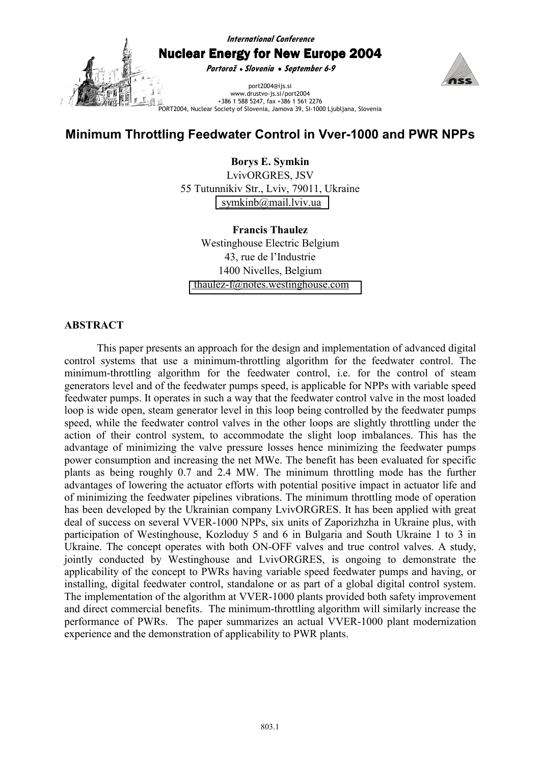**International Conference** 

Nuclear Energy for New Europe 2004

**Portorož** • **Slovenia** • **September 6-9**



port2004@ijs.si www.drustvo-js.si/port2004 +386 1 588 5247, fax +386 1 561 2276 PORT2004, Nuclear Society of Slovenia, Jamova 39, SI-1000 Ljubljana, Slovenia

# **Minimum Throttling Feedwater Control in Vver-1000 and PWR NPPs**

**Borys E. Symkin**  LvivORGRES, JSV 55 Tutunnikiv Str., Lviv, 79011, Ukraine  [symkinb@mail.lviv.ua](mailto:bezsaly@hq.nra.kiev.ua) 

**Francis Thaulez**  Westinghouse Electric Belgium 43, rue de l'Industrie 1400 Nivelles, Belgium  [thaulez-f@notes.westinghouse.com](mailto:chernyshov@westron.kharkov.ua) 

# **ABSTRACT**

This paper presents an approach for the design and implementation of advanced digital control systems that use a minimum-throttling algorithm for the feedwater control. The minimum-throttling algorithm for the feedwater control, i.e. for the control of steam generators level and of the feedwater pumps speed, is applicable for NPPs with variable speed feedwater pumps. It operates in such a way that the feedwater control valve in the most loaded loop is wide open, steam generator level in this loop being controlled by the feedwater pumps speed, while the feedwater control valves in the other loops are slightly throttling under the action of their control system, to accommodate the slight loop imbalances. This has the advantage of minimizing the valve pressure losses hence minimizing the feedwater pumps power consumption and increasing the net MWe. The benefit has been evaluated for specific plants as being roughly 0.7 and 2.4 MW. The minimum throttling mode has the further advantages of lowering the actuator efforts with potential positive impact in actuator life and of minimizing the feedwater pipelines vibrations. The minimum throttling mode of operation has been developed by the Ukrainian company LvivORGRES. It has been applied with great deal of success on several VVER-1000 NPPs, six units of Zaporizhzha in Ukraine plus, with participation of Westinghouse, Kozloduy 5 and 6 in Bulgaria and South Ukraine 1 to 3 in Ukraine. The concept operates with both ON-OFF valves and true control valves. A study, jointly conducted by Westinghouse and LvivORGRES, is ongoing to demonstrate the applicability of the concept to PWRs having variable speed feedwater pumps and having, or installing, digital feedwater control, standalone or as part of a global digital control system. The implementation of the algorithm at VVER-1000 plants provided both safety improvement and direct commercial benefits. The minimum-throttling algorithm will similarly increase the performance of PWRs. The paper summarizes an actual VVER-1000 plant modernization experience and the demonstration of applicability to PWR plants.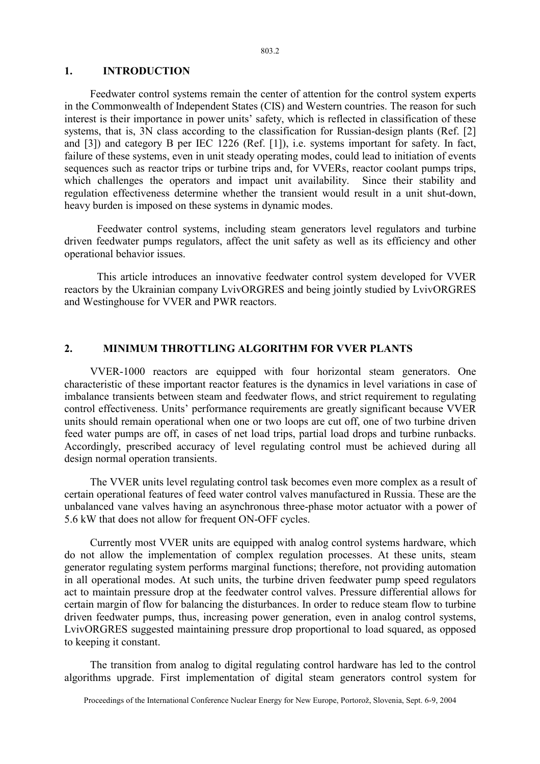#### 803.2

## **1. INTRODUCTION**

Feedwater control systems remain the center of attention for the control system experts in the Commonwealth of Independent States (CIS) and Western countries. The reason for such interest is their importance in power units' safety, which is reflected in classification of these systems, that is, 3N class according to the classification for Russian-design plants (Ref. [2] and [3]) and category B per IEC 1226 (Ref. [1]), i.e. systems important for safety. In fact, failure of these systems, even in unit steady operating modes, could lead to initiation of events sequences such as reactor trips or turbine trips and, for VVERs, reactor coolant pumps trips, which challenges the operators and impact unit availability. Since their stability and regulation effectiveness determine whether the transient would result in a unit shut-down, heavy burden is imposed on these systems in dynamic modes.

Feedwater control systems, including steam generators level regulators and turbine driven feedwater pumps regulators, affect the unit safety as well as its efficiency and other operational behavior issues.

This article introduces an innovative feedwater control system developed for VVER reactors by the Ukrainian company LvivORGRES and being jointly studied by LvivORGRES and Westinghouse for VVER and PWR reactors.

## **2. MINIMUM THROTTLING ALGORITHM FOR VVER PLANTS**

VVER-1000 reactors are equipped with four horizontal steam generators. One characteristic of these important reactor features is the dynamics in level variations in case of imbalance transients between steam and feedwater flows, and strict requirement to regulating control effectiveness. Units' performance requirements are greatly significant because VVER units should remain operational when one or two loops are cut off, one of two turbine driven feed water pumps are off, in cases of net load trips, partial load drops and turbine runbacks. Accordingly, prescribed accuracy of level regulating control must be achieved during all design normal operation transients.

The VVER units level regulating control task becomes even more complex as a result of certain operational features of feed water control valves manufactured in Russia. These are the unbalanced vane valves having an asynchronous three-phase motor actuator with a power of 5.6 kW that does not allow for frequent ON-OFF cycles.

Currently most VVER units are equipped with analog control systems hardware, which do not allow the implementation of complex regulation processes. At these units, steam generator regulating system performs marginal functions; therefore, not providing automation in all operational modes. At such units, the turbine driven feedwater pump speed regulators act to maintain pressure drop at the feedwater control valves. Pressure differential allows for certain margin of flow for balancing the disturbances. In order to reduce steam flow to turbine driven feedwater pumps, thus, increasing power generation, even in analog control systems, LvivORGRES suggested maintaining pressure drop proportional to load squared, as opposed to keeping it constant.

The transition from analog to digital regulating control hardware has led to the control algorithms upgrade. First implementation of digital steam generators control system for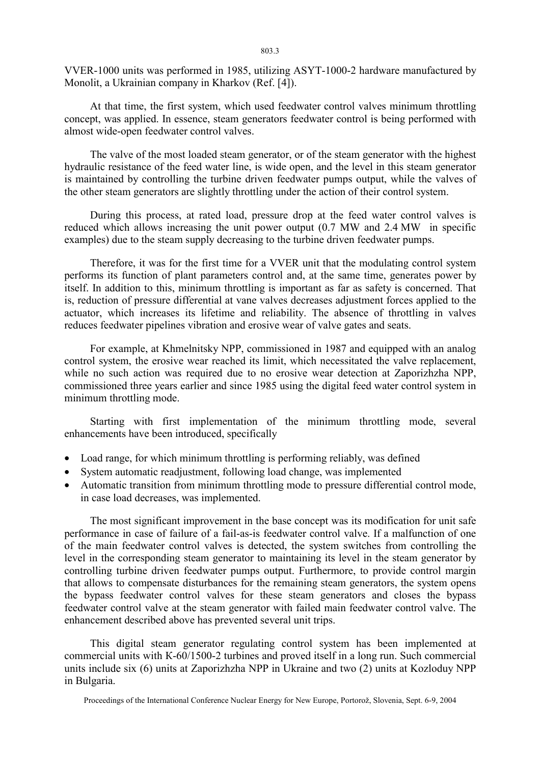VVER-1000 units was performed in 1985, utilizing ASYT-1000-2 hardware manufactured by Monolit, a Ukrainian company in Kharkov (Ref. [4]).

At that time, the first system, which used feedwater control valves minimum throttling concept, was applied. In essence, steam generators feedwater control is being performed with almost wide-open feedwater control valves.

The valve of the most loaded steam generator, or of the steam generator with the highest hydraulic resistance of the feed water line, is wide open, and the level in this steam generator is maintained by controlling the turbine driven feedwater pumps output, while the valves of the other steam generators are slightly throttling under the action of their control system.

During this process, at rated load, pressure drop at the feed water control valves is reduced which allows increasing the unit power output (0.7 MW and 2.4 MW in specific examples) due to the steam supply decreasing to the turbine driven feedwater pumps.

Therefore, it was for the first time for a VVER unit that the modulating control system performs its function of plant parameters control and, at the same time, generates power by itself. In addition to this, minimum throttling is important as far as safety is concerned. That is, reduction of pressure differential at vane valves decreases adjustment forces applied to the actuator, which increases its lifetime and reliability. The absence of throttling in valves reduces feedwater pipelines vibration and erosive wear of valve gates and seats.

For example, at Khmelnitsky NPP, commissioned in 1987 and equipped with an analog control system, the erosive wear reached its limit, which necessitated the valve replacement, while no such action was required due to no erosive wear detection at Zaporizhzha NPP, commissioned three years earlier and since 1985 using the digital feed water control system in minimum throttling mode.

Starting with first implementation of the minimum throttling mode, several enhancements have been introduced, specifically

- Load range, for which minimum throttling is performing reliably, was defined
- System automatic readjustment, following load change, was implemented
- Automatic transition from minimum throttling mode to pressure differential control mode, in case load decreases, was implemented.

The most significant improvement in the base concept was its modification for unit safe performance in case of failure of a fail-as-is feedwater control valve. If a malfunction of one of the main feedwater control valves is detected, the system switches from controlling the level in the corresponding steam generator to maintaining its level in the steam generator by controlling turbine driven feedwater pumps output. Furthermore, to provide control margin that allows to compensate disturbances for the remaining steam generators, the system opens the bypass feedwater control valves for these steam generators and closes the bypass feedwater control valve at the steam generator with failed main feedwater control valve. The enhancement described above has prevented several unit trips.

This digital steam generator regulating control system has been implemented at commercial units with К-60/1500-2 turbines and proved itself in a long run. Such commercial units include six (6) units at Zaporizhzha NPP in Ukraine and two (2) units at Kozloduy NPP in Bulgaria.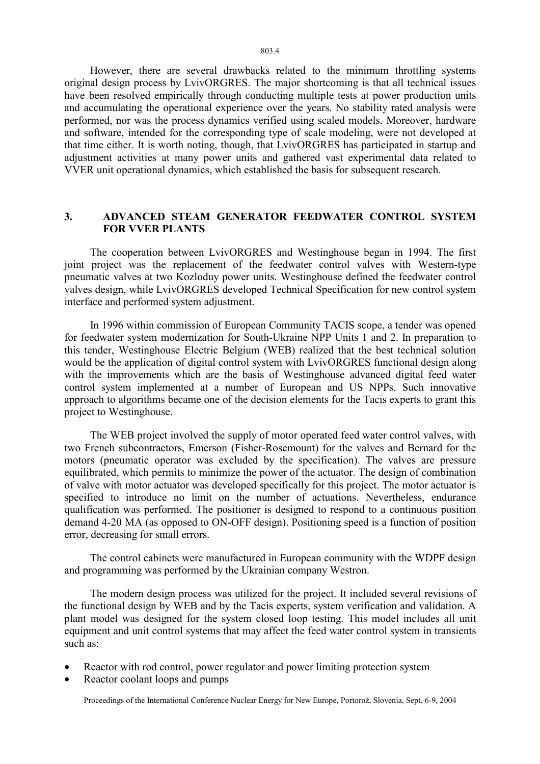However, there are several drawbacks related to the minimum throttling systems original design process by LvivORGRES. The major shortcoming is that all technical issues have been resolved empirically through conducting multiple tests at power production units and accumulating the operational experience over the years. No stability rated analysis were performed, nor was the process dynamics verified using scaled models. Moreover, hardware and software, intended for the corresponding type of scale modeling, were not developed at that time either. It is worth noting, though, that LvivORGRES has participated in startup and adjustment activities at many power units and gathered vast experimental data related to VVER unit operational dynamics, which established the basis for subsequent research.

## **3. ADVANCED STEAM GENERATOR FEEDWATER CONTROL SYSTEM FOR VVER PLANTS**

The cooperation between LvivORGRES and Westinghouse began in 1994. The first joint project was the replacement of the feedwater control valves with Western-type pneumatic valves at two Kozloduy power units. Westinghouse defined the feedwater control valves design, while LvivORGRES developed Technical Specification for new control system interface and performed system adjustment.

In 1996 within commission of European Community TACIS scope, a tender was opened for feedwater system modernization for South-Ukraine NPP Units 1 and 2. In preparation to this tender, Westinghouse Electric Belgium (WEB) realized that the best technical solution would be the application of digital control system with LvivORGRES functional design along with the improvements which are the basis of Westinghouse advanced digital feed water control system implemented at a number of European and US NPPs. Such innovative approach to algorithms became one of the decision elements for the Tacis experts to grant this project to Westinghouse.

The WEB project involved the supply of motor operated feed water control valves, with two French subcontractors, Emerson (Fisher-Rosemount) for the valves and Bernard for the motors (pneumatic operator was excluded by the specification). The valves are pressure equilibrated, which permits to minimize the power of the actuator. The design of combination of valve with motor actuator was developed specifically for this project. The motor actuator is specified to introduce no limit on the number of actuations. Nevertheless, endurance qualification was performed. The positioner is designed to respond to a continuous position demand 4-20 MA (as opposed to ON-OFF design). Positioning speed is a function of position error, decreasing for small errors.

The control cabinets were manufactured in European community with the WDPF design and programming was performed by the Ukrainian company Westron.

The modern design process was utilized for the project. It included several revisions of the functional design by WEB and by the Tacis experts, system verification and validation. A plant model was designed for the system closed loop testing. This model includes all unit equipment and unit control systems that may affect the feed water control system in transients such as:

- Reactor with rod control, power regulator and power limiting protection system
- Reactor coolant loops and pumps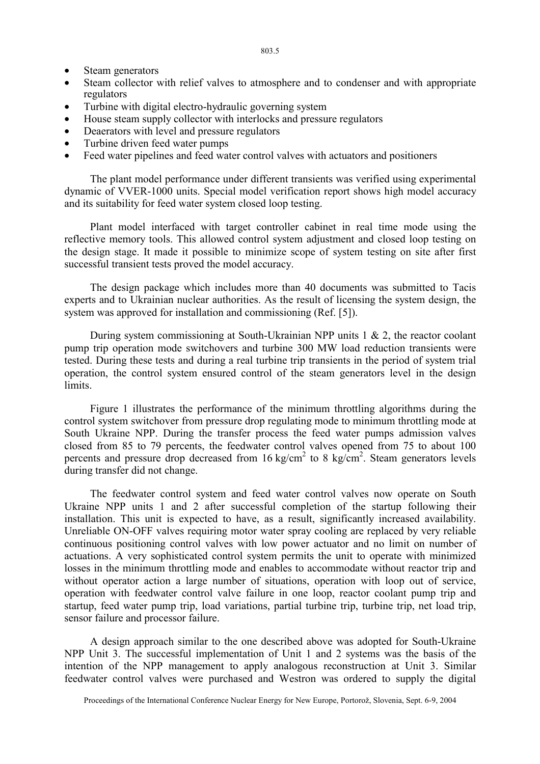- Steam generators
- Steam collector with relief valves to atmosphere and to condenser and with appropriate regulators
- Turbine with digital electro-hydraulic governing system
- House steam supply collector with interlocks and pressure regulators
- Deaerators with level and pressure regulators
- Turbine driven feed water pumps
- Feed water pipelines and feed water control valves with actuators and positioners

The plant model performance under different transients was verified using experimental dynamic of VVER-1000 units. Special model verification report shows high model accuracy and its suitability for feed water system closed loop testing.

Plant model interfaced with target controller cabinet in real time mode using the reflective memory tools. This allowed control system adjustment and closed loop testing on the design stage. It made it possible to minimize scope of system testing on site after first successful transient tests proved the model accuracy.

The design package which includes more than 40 documents was submitted to Tacis experts and to Ukrainian nuclear authorities. As the result of licensing the system design, the system was approved for installation and commissioning (Ref. [5]).

During system commissioning at South-Ukrainian NPP units 1 & 2, the reactor coolant pump trip operation mode switchovers and turbine 300 MW load reduction transients were tested. During these tests and during a real turbine trip transients in the period of system trial operation, the control system ensured control of the steam generators level in the design limits.

Figure 1 illustrates the performance of the minimum throttling algorithms during the control system switchover from pressure drop regulating mode to minimum throttling mode at South Ukraine NPP. During the transfer process the feed water pumps admission valves closed from 85 to 79 percents, the feedwater control valves opened from 75 to about 100 percents and pressure drop decreased from  $16 \text{ kg/cm}^2$  to 8 kg/cm<sup>2</sup>. Steam generators levels during transfer did not change.

The feedwater control system and feed water control valves now operate on South Ukraine NPP units 1 and 2 after successful completion of the startup following their installation. This unit is expected to have, as a result, significantly increased availability. Unreliable ON-OFF valves requiring motor water spray cooling are replaced by very reliable continuous positioning control valves with low power actuator and no limit on number of actuations. A very sophisticated control system permits the unit to operate with minimized losses in the minimum throttling mode and enables to accommodate without reactor trip and without operator action a large number of situations, operation with loop out of service, operation with feedwater control valve failure in one loop, reactor coolant pump trip and startup, feed water pump trip, load variations, partial turbine trip, turbine trip, net load trip, sensor failure and processor failure.

A design approach similar to the one described above was adopted for South-Ukraine NPP Unit 3. The successful implementation of Unit 1 and 2 systems was the basis of the intention of the NPP management to apply analogous reconstruction at Unit 3. Similar feedwater control valves were purchased and Westron was ordered to supply the digital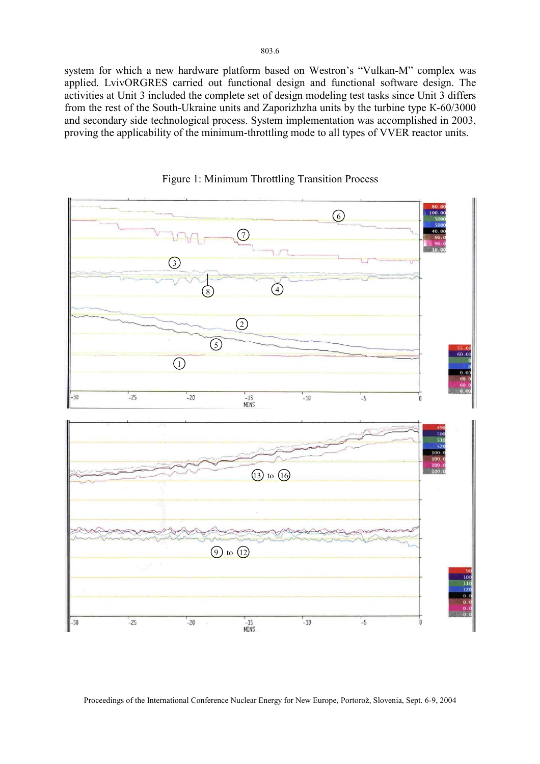system for which a new hardware platform based on Westron's "Vulkan-M" complex was applied. LvivORGRES carried out functional design and functional software design. The activities at Unit 3 included the complete set of design modeling test tasks since Unit 3 differs from the rest of the South-Ukraine units and Zaporizhzha units by the turbine type К-60/3000 and secondary side technological process. System implementation was accomplished in 2003, proving the applicability of the minimum-throttling mode to all types of VVER reactor units.





Proceedings of the International Conference Nuclear Energy for New Europe, Portorož, Slovenia, Sept. 6-9, 2004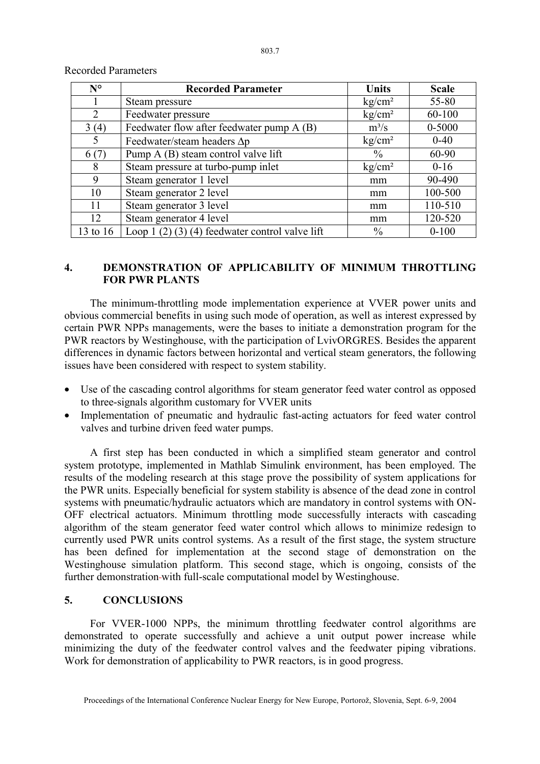| $N^{\circ}$    | <b>Recorded Parameter</b>                       | Units              | <b>Scale</b> |
|----------------|-------------------------------------------------|--------------------|--------------|
|                | Steam pressure                                  | kg/cm <sup>2</sup> | 55-80        |
| $\overline{2}$ | Feedwater pressure                              | kg/cm <sup>2</sup> | 60-100       |
| 3(4)           | Feedwater flow after feedwater pump A (B)       | $m^3/s$            | $0 - 5000$   |
| 5              | Feedwater/steam headers $\Delta p$              | kg/cm <sup>2</sup> | $0 - 40$     |
| 6(7)           | Pump A (B) steam control valve lift             | $\frac{0}{0}$      | 60-90        |
| 8              | Steam pressure at turbo-pump inlet              | kg/cm <sup>2</sup> | $0 - 16$     |
| 9              | Steam generator 1 level                         | mm                 | 90-490       |
| 10             | Steam generator 2 level                         | mm                 | 100-500      |
| 11             | Steam generator 3 level                         | mm                 | 110-510      |
| 12             | Steam generator 4 level                         | mm                 | 120-520      |
| 13 to 16       | Loop 1 (2) (3) (4) feedwater control valve lift | $\%$               | $0 - 100$    |

## Recorded Parameters

## **4. DEMONSTRATION OF APPLICABILITY OF MINIMUM THROTTLING FOR PWR PLANTS**

The minimum-throttling mode implementation experience at VVER power units and obvious commercial benefits in using such mode of operation, as well as interest expressed by certain PWR NPPs managements, were the bases to initiate a demonstration program for the PWR reactors by Westinghouse, with the participation of LvivORGRES. Besides the apparent differences in dynamic factors between horizontal and vertical steam generators, the following issues have been considered with respect to system stability.

- Use of the cascading control algorithms for steam generator feed water control as opposed to three-signals algorithm customary for VVER units
- Implementation of pneumatic and hydraulic fast-acting actuators for feed water control valves and turbine driven feed water pumps.

A first step has been conducted in which a simplified steam generator and control system prototype, implemented in Mathlab Simulink environment, has been employed. The results of the modeling research at this stage prove the possibility of system applications for the PWR units. Especially beneficial for system stability is absence of the dead zone in control systems with pneumatic/hydraulic actuators which are mandatory in control systems with ON-OFF electrical actuators. Minimum throttling mode successfully interacts with cascading algorithm of the steam generator feed water control which allows to minimize redesign to currently used PWR units control systems. As a result of the first stage, the system structure has been defined for implementation at the second stage of demonstration on the Westinghouse simulation platform. This second stage, which is ongoing, consists of the further demonstration-with full-scale computational model by Westinghouse.

## **5. CONCLUSIONS**

For VVER-1000 NPPs, the minimum throttling feedwater control algorithms are demonstrated to operate successfully and achieve a unit output power increase while minimizing the duty of the feedwater control valves and the feedwater piping vibrations. Work for demonstration of applicability to PWR reactors, is in good progress.